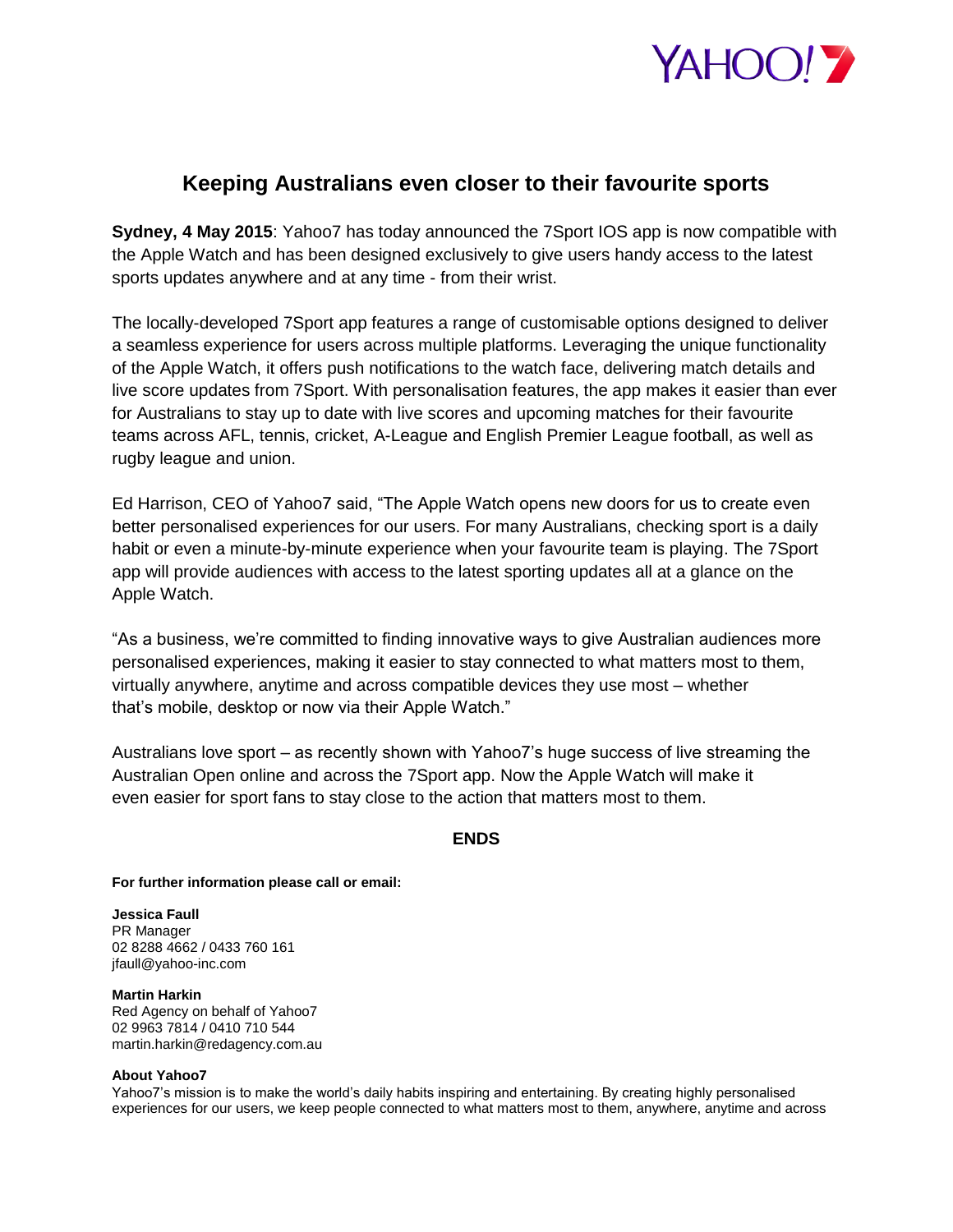

## **Keeping Australians even closer to their favourite sports**

**Sydney, 4 May 2015**: Yahoo7 has today announced the 7Sport IOS app is now compatible with the Apple Watch and has been designed exclusively to give users handy access to the latest sports updates anywhere and at any time - from their wrist.

The locally-developed 7Sport app features a range of customisable options designed to deliver a seamless experience for users across multiple platforms. Leveraging the unique functionality of the Apple Watch, it offers push notifications to the watch face, delivering match details and live score updates from 7Sport. With personalisation features, the app makes it easier than ever for Australians to stay up to date with live scores and upcoming matches for their favourite teams across AFL, tennis, cricket, A-League and English Premier League football, as well as rugby league and union.

Ed Harrison, CEO of Yahoo7 said, "The Apple Watch opens new doors for us to create even better personalised experiences for our users. For many Australians, checking sport is a daily habit or even a minute-by-minute experience when your favourite team is playing. The 7Sport app will provide audiences with access to the latest sporting updates all at a glance on the Apple Watch.

"As a business, we're committed to finding innovative ways to give Australian audiences more personalised experiences, making it easier to stay connected to what matters most to them, virtually anywhere, anytime and across compatible devices they use most – whether that's mobile, desktop or now via their Apple Watch."

Australians love sport – as recently shown with Yahoo7's huge success of live streaming the Australian Open online and across the 7Sport app. Now the Apple Watch will make it even easier for sport fans to stay close to the action that matters most to them.

## **ENDS**

**For further information please call or email:**

**Jessica Faull** PR Manager 02 8288 4662 / 0433 760 161 jfaull@yahoo-inc.com

**Martin Harkin**  Red Agency on behalf of Yahoo7 02 9963 7814 / 0410 710 544 martin.harkin@redagency.com.au

## **About Yahoo7**

Yahoo7's mission is to make the world's daily habits inspiring and entertaining. By creating highly personalised experiences for our users, we keep people connected to what matters most to them, anywhere, anytime and across